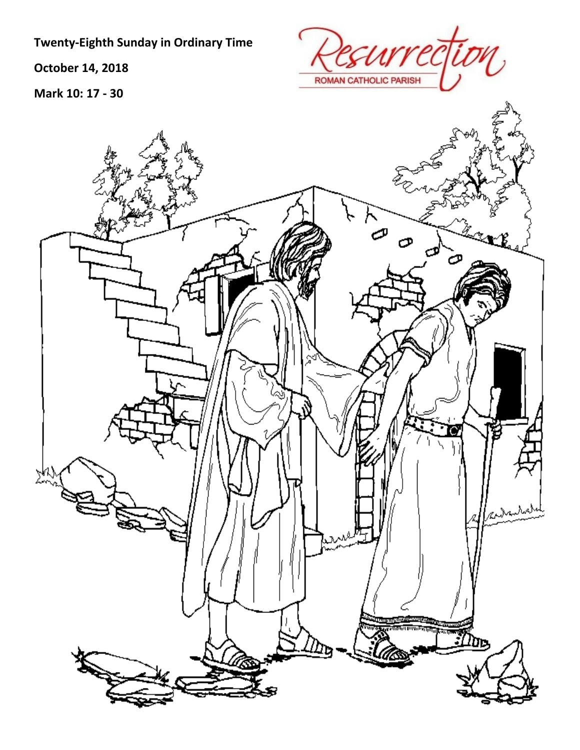**Twenty‐Eighth Sunday in Ordinary Time**

**October 14, 2018**

**Mark 10: 17 ‐ 30**



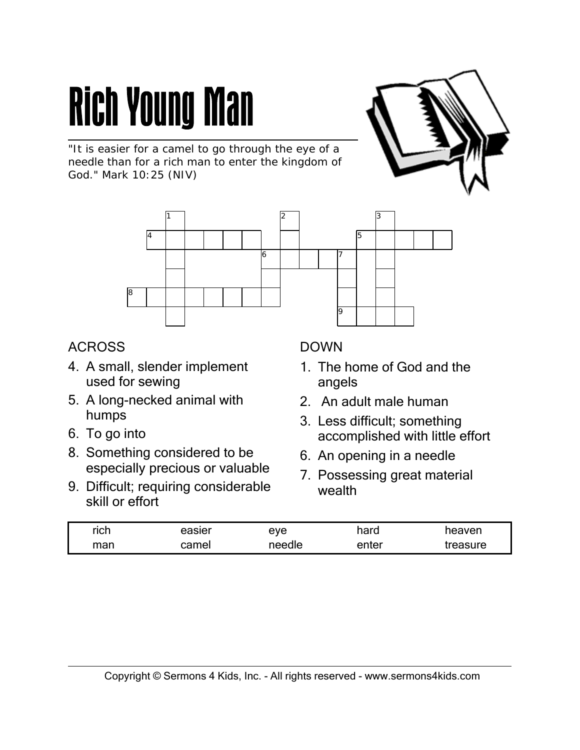### **Rich Young Man**

"It is easier for a camel to go through the eye of a needle than for a rich man to enter the kingdom of God." Mark 10:25 (NIV)



#### ACROSS

- 4. A small, slender implement used for sewing
- 5. A long-necked animal with humps
- 6. To go into
- 8. Something considered to be especially precious or valuable
- 9. Difficult; requiring considerable skill or effort

#### DOWN

9

- 1. The home of God and the angels
- 2. An adult male human
- 3. Less difficult; something accomplished with little effort
- 6. An opening in a needle
- 7. Possessing great material wealth

| rich | easier | eve    | hard  | neaven   |
|------|--------|--------|-------|----------|
| man  | camel  | needle | enter | treasure |

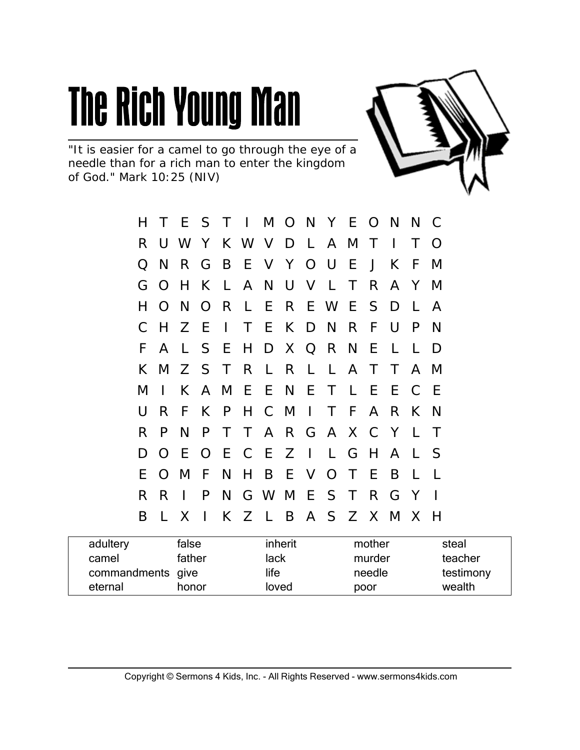

"It is easier for a camel to go through the eye of a needle than for a rich man to enter the kingdom of God." Mark 10:25 (NIV)

| н  |              |              |         |  |  | T E S T I M O N Y E O N   |  |                 | N C          |        |  |
|----|--------------|--------------|---------|--|--|---------------------------|--|-----------------|--------------|--------|--|
| R. |              |              |         |  |  | U W Y K W V D L A M T     |  | $\sim 10^{-11}$ | T.           | - O    |  |
| O  | <sup>N</sup> |              |         |  |  | R G B E V Y O U E J K     |  |                 | -F           | M      |  |
|    |              | G O H        |         |  |  | K L A N U V L T           |  | R A Y           |              | M      |  |
| H  |              |              |         |  |  | O N O R L E R E W E S D   |  |                 | L A          |        |  |
| C  | H            | Z E          |         |  |  | I T E K D N R F           |  | - U             | P            | N      |  |
| F. | $\mathsf{A}$ |              |         |  |  | L S E H D X Q R N E       |  | $\perp$         | $\mathsf{L}$ | D      |  |
|    |              |              |         |  |  | K M Z S T R L R L L A T T |  |                 |              | A M    |  |
| M  | $\mathbf{I}$ |              |         |  |  | K A M E E N E T L E       |  | E C E           |              |        |  |
| U  | R            | F.           |         |  |  | K P H C M I T F A R       |  |                 | K N          |        |  |
| R  | P            | N.           |         |  |  | P T T A R G A X C Y L     |  |                 |              | $\top$ |  |
| D  | $\Omega$     | - E -        |         |  |  | O E C E Z I L G H A L S   |  |                 |              |        |  |
| E  |              | O M          |         |  |  | F N H B E V O T E B       |  |                 | $\perp$      | $\Box$ |  |
| R  | R            | $\mathbf{L}$ | P       |  |  | N G W M E S T R G         |  |                 | Y            |        |  |
| B  | $\mathbf{L}$ | X            | $\perp$ |  |  | K Z L B A S Z X M X H     |  |                 |              |        |  |
|    |              |              |         |  |  |                           |  |                 |              |        |  |

| adultery          | false  | inherit | mother | steal     |
|-------------------|--------|---------|--------|-----------|
| camel             | father | lack    | murder | teacher   |
| commandments give |        | life    | needle | testimony |
| eternal           | honor  | loved   | poor   | wealth    |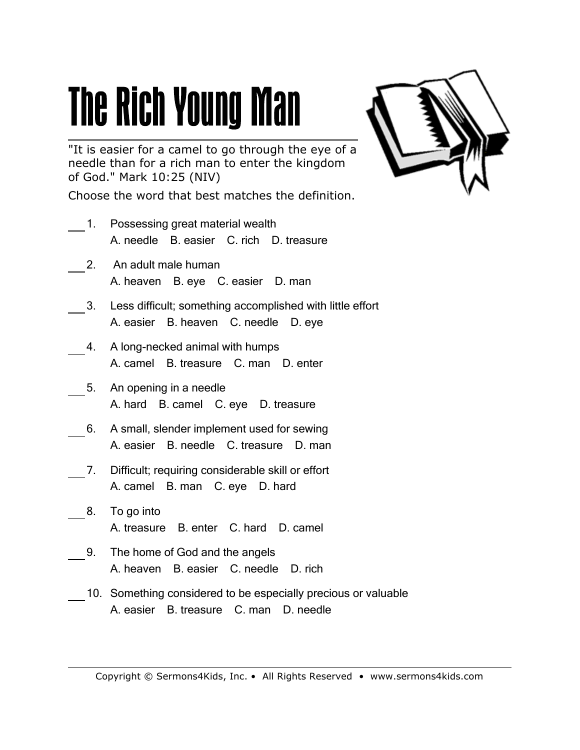"It is easier for a camel to go through the eye of a needle than for a rich man to enter the kingdom of God." Mark 10:25 (NIV)

Choose the word that best matches the definition.

- 1. Possessing great material wealth A. needle B. easier C. rich D. treasure
- 2. An adult male human A. heaven B. eye C. easier D. man
- 3. Less difficult; something accomplished with little effort A. easier B. heaven C. needle D. eye
- 4. A long-necked animal with humps A. camel B. treasure C. man D. enter
- 5. An opening in a needle A. hard B. camel C. eye D. treasure
- 6. A small, slender implement used for sewing A. easier B. needle C. treasure D. man
- 7. Difficult; requiring considerable skill or effort A. camel B. man C. eye D. hard
- 8. To go into A. treasure B. enter C. hard D. camel
- 9. The home of God and the angels A. heaven B. easier C. needle D. rich
- 10. Something considered to be especially precious or valuable A. easier B. treasure C. man D. needle

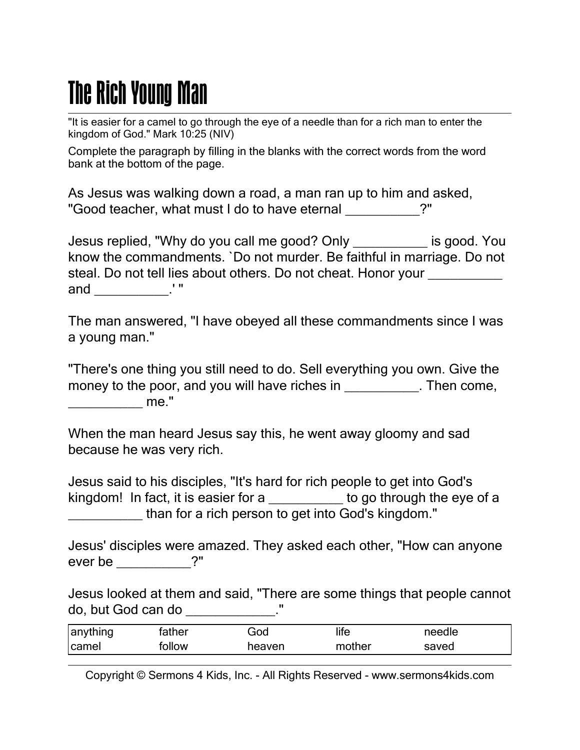"It is easier for a camel to go through the eye of a needle than for a rich man to enter the kingdom of God." Mark 10:25 (NIV)

Complete the paragraph by filling in the blanks with the correct words from the word bank at the bottom of the page.

As Jesus was walking down a road, a man ran up to him and asked, "Good teacher, what must I do to have eternal \_\_\_\_\_\_\_\_\_\_?"

Jesus replied, "Why do you call me good? Only \_\_\_\_\_\_\_\_\_\_ is good. You know the commandments. `Do not murder. Be faithful in marriage. Do not steal. Do not tell lies about others. Do not cheat. Honor your \_\_\_\_\_\_\_\_\_\_ and  $\frac{1}{\sqrt{2\pi}}$  : "

The man answered, "I have obeyed all these commandments since I was a young man."

"There's one thing you still need to do. Sell everything you own. Give the money to the poor, and you will have riches in Then come, \_\_\_\_\_\_\_\_\_\_ me."

When the man heard Jesus say this, he went away gloomy and sad because he was very rich.

Jesus said to his disciples, "It's hard for rich people to get into God's kingdom! In fact, it is easier for a b a lost to go through the eye of a \_\_\_\_\_\_\_\_\_\_ than for a rich person to get into God's kingdom."

Jesus' disciples were amazed. They asked each other, "How can anyone ever be  $\overline{\phantom{a}}$ 

Jesus looked at them and said, "There are some things that people cannot do, but God can do \_\_\_\_\_\_\_\_\_\_\_\_."

| anything | father | God    | life   | needle |
|----------|--------|--------|--------|--------|
| camel    | follow | heaven | mother | saved  |

Copyright © Sermons 4 Kids, Inc. - All Rights Reserved - www.sermons4kids.com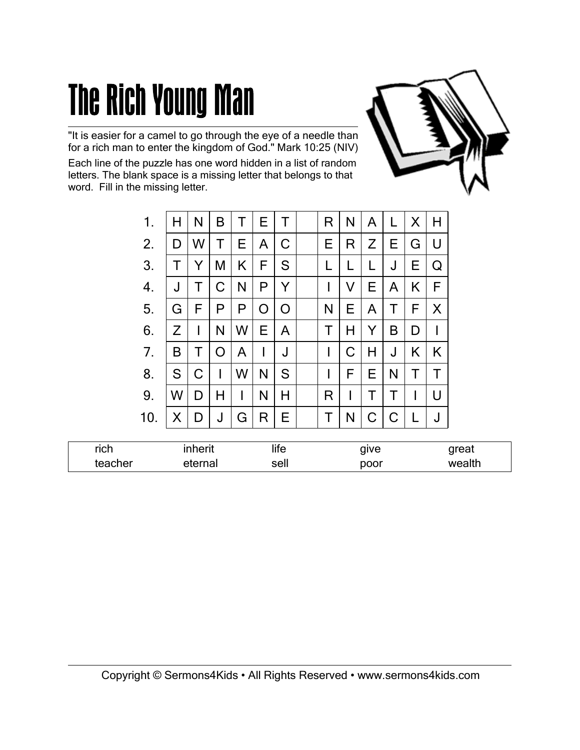"It is easier for a camel to go through the eye of a needle than for a rich man to enter the kingdom of God." Mark 10:25 (NIV)

Each line of the puzzle has one word hidden in a list of random letters. The blank space is a missing letter that belongs to that word. Fill in the missing letter.

| 1.  | H  | N            | B | Τ  | E. | Т  | R  | N  | A  | L | X | H            |
|-----|----|--------------|---|----|----|----|----|----|----|---|---|--------------|
| 2.  | D  | W            | Τ | E. | A  | C  | E. | R  | Z  | Е | G | U            |
| 3.  |    | Y            | M | K  | F  | S  | L  |    | L  | J | Е | Q            |
| 4.  | J  | Τ            | C | N  | P  | Y  | I  | V  | E. | A | K | F            |
| 5.  | G  | F            | P | P  | O  | O  | N  | E. | A  | Τ | F | X            |
| 6.  | Z  | $\mathsf{I}$ | N | W  | E. | A  | Τ  | н  | Y  | B | D | $\mathsf{l}$ |
| 7.  | B  | Τ            | O | A  | I  | J  | I  | C  | H  | J | K | K            |
| 8.  | S. | C            | I | W  | N  | S  | I  | F  | E. | N | Τ | Τ            |
| 9.  | W  | D            | Η | I  | N  | Н  | R  | I  |    | Τ |   | U            |
| 10. | X  | D            | J | G  | R  | E. | Τ  | N  | C  | C |   | J            |

| rich    | inherit | life | give | าreat  |
|---------|---------|------|------|--------|
| teacher | eterna. | sell | poor | wealth |



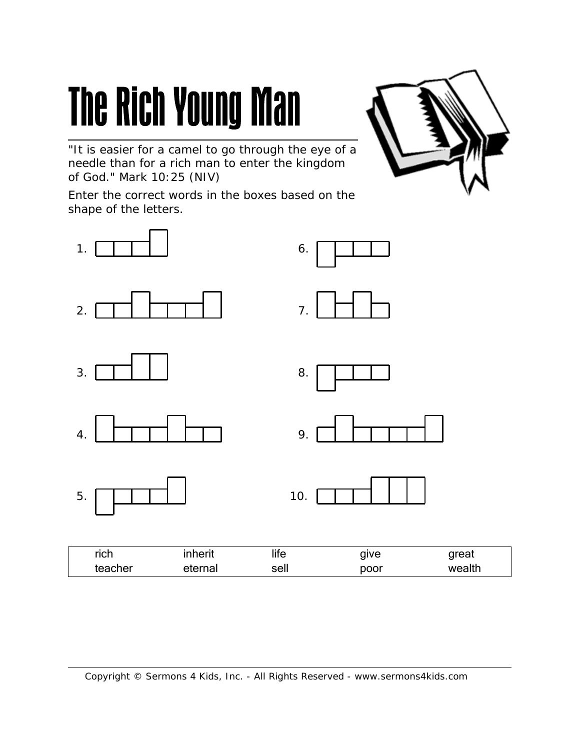"It is easier for a camel to go through the eye of a needle than for a rich man to enter the kingdom of God." Mark 10:25 (NIV)

Enter the correct words in the boxes based on the shape of the letters.



teacher eternal sell poor wealth